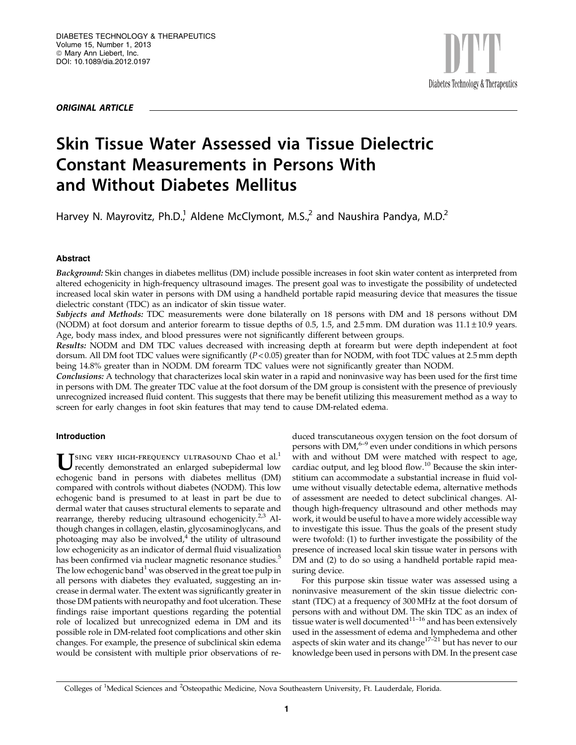ORIGINAL ARTICLE



# Skin Tissue Water Assessed via Tissue Dielectric Constant Measurements in Persons With and Without Diabetes Mellitus

Harvey N. Mayrovitz, Ph.D.,<sup>1</sup> Aldene McClymont, M.S.,<sup>2</sup> and Naushira Pandya, M.D.<sup>2</sup>

# Abstract

Background: Skin changes in diabetes mellitus (DM) include possible increases in foot skin water content as interpreted from altered echogenicity in high-frequency ultrasound images. The present goal was to investigate the possibility of undetected increased local skin water in persons with DM using a handheld portable rapid measuring device that measures the tissue dielectric constant (TDC) as an indicator of skin tissue water.

Subjects and Methods: TDC measurements were done bilaterally on 18 persons with DM and 18 persons without DM (NODM) at foot dorsum and anterior forearm to tissue depths of 0.5, 1.5, and 2.5 mm. DM duration was  $11.1 \pm 10.9$  years. Age, body mass index, and blood pressures were not significantly different between groups.

Results: NODM and DM TDC values decreased with increasing depth at forearm but were depth independent at foot dorsum. All DM foot TDC values were significantly  $(P < 0.05)$  greater than for NODM, with foot TDC values at 2.5 mm depth being 14.8% greater than in NODM. DM forearm TDC values were not significantly greater than NODM.

Conclusions: A technology that characterizes local skin water in a rapid and noninvasive way has been used for the first time in persons with DM. The greater TDC value at the foot dorsum of the DM group is consistent with the presence of previously unrecognized increased fluid content. This suggests that there may be benefit utilizing this measurement method as a way to screen for early changes in foot skin features that may tend to cause DM-related edema.

# Introduction

TSING VERY HIGH-FREQUENCY ULTRASOUND Chao et al.<sup>1</sup> recently demonstrated an enlarged subepidermal low echogenic band in persons with diabetes mellitus (DM) compared with controls without diabetes (NODM). This low echogenic band is presumed to at least in part be due to dermal water that causes structural elements to separate and rearrange, thereby reducing ultrasound echogenicity.<sup>2,3</sup> Although changes in collagen, elastin, glycosaminoglycans, and photoaging may also be involved, $4$  the utility of ultrasound low echogenicity as an indicator of dermal fluid visualization has been confirmed via nuclear magnetic resonance studies.<sup>5</sup> The low echogenic band<sup>1</sup> was observed in the great toe pulp in all persons with diabetes they evaluated, suggesting an increase in dermal water. The extent was significantly greater in those DM patients with neuropathy and foot ulceration. These findings raise important questions regarding the potential role of localized but unrecognized edema in DM and its possible role in DM-related foot complications and other skin changes. For example, the presence of subclinical skin edema would be consistent with multiple prior observations of reduced transcutaneous oxygen tension on the foot dorsum of persons with  $DM<sub>0</sub><sup>6–9</sup>$  even under conditions in which persons with and without DM were matched with respect to age, cardiac output, and leg blood flow.<sup>10</sup> Because the skin interstitium can accommodate a substantial increase in fluid volume without visually detectable edema, alternative methods of assessment are needed to detect subclinical changes. Although high-frequency ultrasound and other methods may work, it would be useful to have a more widely accessible way to investigate this issue. Thus the goals of the present study were twofold: (1) to further investigate the possibility of the presence of increased local skin tissue water in persons with DM and (2) to do so using a handheld portable rapid measuring device.

For this purpose skin tissue water was assessed using a noninvasive measurement of the skin tissue dielectric constant (TDC) at a frequency of 300 MHz at the foot dorsum of persons with and without DM. The skin TDC as an index of tissue water is well documented $^{11-16}$  and has been extensively used in the assessment of edema and lymphedema and other aspects of skin water and its change<sup>17–21</sup> but has never to our knowledge been used in persons with DM. In the present case

Colleges of <sup>1</sup>Medical Sciences and <sup>2</sup>Osteopathic Medicine, Nova Southeastern University, Ft. Lauderdale, Florida.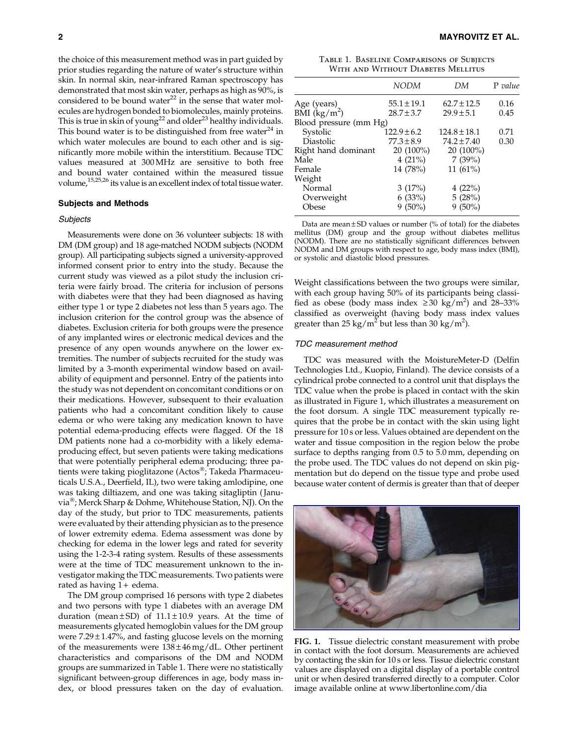the choice of this measurement method was in part guided by prior studies regarding the nature of water's structure within skin. In normal skin, near-infrared Raman spectroscopy has demonstrated that most skin water, perhaps as high as 90%, is considered to be bound water $^{22}$  in the sense that water molecules are hydrogen bonded to biomolecules, mainly proteins. This is true in skin of young<sup>22</sup> and older<sup>23</sup> healthy individuals. This bound water is to be distinguished from free water $24$  in which water molecules are bound to each other and is significantly more mobile within the interstitium. Because TDC values measured at 300 MHz are sensitive to both free and bound water contained within the measured tissue volume,15,25,26 its value is an excellent index of total tissue water.

# Subjects and Methods

#### **Subjects**

Measurements were done on 36 volunteer subjects: 18 with DM (DM group) and 18 age-matched NODM subjects (NODM group). All participating subjects signed a university-approved informed consent prior to entry into the study. Because the current study was viewed as a pilot study the inclusion criteria were fairly broad. The criteria for inclusion of persons with diabetes were that they had been diagnosed as having either type 1 or type 2 diabetes not less than 5 years ago. The inclusion criterion for the control group was the absence of diabetes. Exclusion criteria for both groups were the presence of any implanted wires or electronic medical devices and the presence of any open wounds anywhere on the lower extremities. The number of subjects recruited for the study was limited by a 3-month experimental window based on availability of equipment and personnel. Entry of the patients into the study was not dependent on concomitant conditions or on their medications. However, subsequent to their evaluation patients who had a concomitant condition likely to cause edema or who were taking any medication known to have potential edema-producing effects were flagged. Of the 18 DM patients none had a co-morbidity with a likely edemaproducing effect, but seven patients were taking medications that were potentially peripheral edema producing; three patients were taking pioglitazone (Actos®; Takeda Pharmaceuticals U.S.A., Deerfield, IL), two were taking amlodipine, one was taking diltiazem, and one was taking sitagliptin ( Januvia<sup>®</sup>; Merck Sharp & Dohme, Whitehouse Station, NJ). On the day of the study, but prior to TDC measurements, patients were evaluated by their attending physician as to the presence of lower extremity edema. Edema assessment was done by checking for edema in the lower legs and rated for severity using the 1-2-3-4 rating system. Results of these assessments were at the time of TDC measurement unknown to the investigator making the TDC measurements. Two patients were rated as having  $1+$  edema.

The DM group comprised 16 persons with type 2 diabetes and two persons with type 1 diabetes with an average DM duration (mean  $\pm$  SD) of 11.1 $\pm$ 10.9 years. At the time of measurements glycated hemoglobin values for the DM group were  $7.29 \pm 1.47$ %, and fasting glucose levels on the morning of the measurements were  $138 \pm 46$  mg/dL. Other pertinent characteristics and comparisons of the DM and NODM groups are summarized in Table 1. There were no statistically significant between-group differences in age, body mass index, or blood pressures taken on the day of evaluation.

Table 1. Baseline Comparisons of Subjects WITH AND WITHOUT DIABETES MELLITUS

|                                       | NODM            | DМ               | P value |  |
|---------------------------------------|-----------------|------------------|---------|--|
| Age (years)                           | $55.1 \pm 19.1$ | $62.7 \pm 12.5$  | 0.16    |  |
| $\overline{BMI}$ (kg/m <sup>2</sup> ) | $28.7 \pm 3.7$  | $29.9 \pm 5.1$   | 0.45    |  |
| Blood pressure (mm Hg)                |                 |                  |         |  |
| Systolic                              | $122.9 \pm 6.2$ | $124.8 \pm 18.1$ | 0.71    |  |
| Diastolic                             | $77.3 \pm 8.9$  | $74.2 \pm 7.40$  | 0.30    |  |
| Right hand dominant                   | $20(100\%)$     | $20(100\%)$      |         |  |
| Male                                  | 4(21%)          | 7(39%)           |         |  |
| Female                                | 14 (78%)        | 11 $(61\%)$      |         |  |
| Weight                                |                 |                  |         |  |
| Normal                                | 3(17%)          | 4(22%)           |         |  |
| Overweight                            | 6(33%)          | 5(28%)           |         |  |
| Obese                                 | $9(50\%)$       | $9(50\%)$        |         |  |
|                                       |                 |                  |         |  |

Data are mean  $\pm$  SD values or number (% of total) for the diabetes mellitus (DM) group and the group without diabetes mellitus (NODM). There are no statistically significant differences between NODM and DM groups with respect to age, body mass index (BMI), or systolic and diastolic blood pressures.

Weight classifications between the two groups were similar, with each group having 50% of its participants being classified as obese (body mass index  $\geq 30 \text{ kg/m}^2$ ) and 28-33% classified as overweight (having body mass index values greater than 25 kg/m<sup>2</sup> but less than 30 kg/m<sup>2</sup>).

#### TDC measurement method

TDC was measured with the MoistureMeter-D (Delfin Technologies Ltd., Kuopio, Finland). The device consists of a cylindrical probe connected to a control unit that displays the TDC value when the probe is placed in contact with the skin as illustrated in Figure 1, which illustrates a measurement on the foot dorsum. A single TDC measurement typically requires that the probe be in contact with the skin using light pressure for 10 s or less. Values obtained are dependent on the water and tissue composition in the region below the probe surface to depths ranging from 0.5 to 5.0 mm, depending on the probe used. The TDC values do not depend on skin pigmentation but do depend on the tissue type and probe used because water content of dermis is greater than that of deeper



FIG. 1. Tissue dielectric constant measurement with probe in contact with the foot dorsum. Measurements are achieved by contacting the skin for 10 s or less. Tissue dielectric constant values are displayed on a digital display of a portable control unit or when desired transferred directly to a computer. Color image available online at www.libertonline.com/dia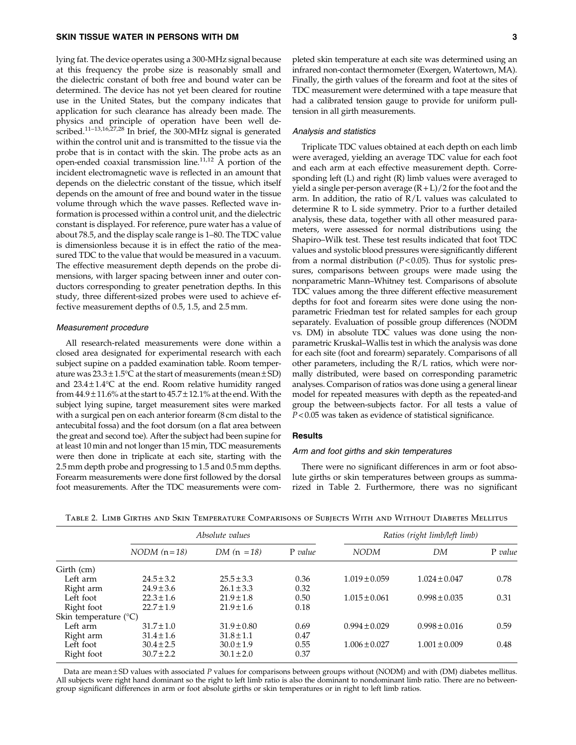## SKIN TISSUE WATER IN PERSONS WITH DM 3

lying fat. The device operates using a 300-MHz signal because at this frequency the probe size is reasonably small and the dielectric constant of both free and bound water can be determined. The device has not yet been cleared for routine use in the United States, but the company indicates that application for such clearance has already been made. The physics and principle of operation have been well described.<sup>11-13,16,27,28</sup> In brief, the 300-MHz signal is generated within the control unit and is transmitted to the tissue via the probe that is in contact with the skin. The probe acts as an open-ended coaxial transmission line.<sup>11,12</sup>  $\overrightarrow{A}$  portion of the incident electromagnetic wave is reflected in an amount that depends on the dielectric constant of the tissue, which itself depends on the amount of free and bound water in the tissue volume through which the wave passes. Reflected wave information is processed within a control unit, and the dielectric constant is displayed. For reference, pure water has a value of about 78.5, and the display scale range is 1–80. The TDC value is dimensionless because it is in effect the ratio of the measured TDC to the value that would be measured in a vacuum. The effective measurement depth depends on the probe dimensions, with larger spacing between inner and outer conductors corresponding to greater penetration depths. In this study, three different-sized probes were used to achieve effective measurement depths of 0.5, 1.5, and 2.5 mm.

#### Measurement procedure

All research-related measurements were done within a closed area designated for experimental research with each subject supine on a padded examination table. Room temperature was  $23.3 \pm 1.5$ °C at the start of measurements (mean $\pm$ SD) and  $23.4 \pm 1.4$ °C at the end. Room relative humidity ranged from  $44.9 \pm 11.6$ % at the start to  $45.7 \pm 12.1$ % at the end. With the subject lying supine, target measurement sites were marked with a surgical pen on each anterior forearm (8 cm distal to the antecubital fossa) and the foot dorsum (on a flat area between the great and second toe). After the subject had been supine for at least 10 min and not longer than 15 min, TDC measurements were then done in triplicate at each site, starting with the 2.5 mm depth probe and progressing to 1.5 and 0.5 mm depths. Forearm measurements were done first followed by the dorsal foot measurements. After the TDC measurements were com-

pleted skin temperature at each site was determined using an infrared non-contact thermometer (Exergen, Watertown, MA). Finally, the girth values of the forearm and foot at the sites of TDC measurement were determined with a tape measure that had a calibrated tension gauge to provide for uniform pulltension in all girth measurements.

#### Analysis and statistics

Triplicate TDC values obtained at each depth on each limb were averaged, yielding an average TDC value for each foot and each arm at each effective measurement depth. Corresponding left (L) and right (R) limb values were averaged to yield a single per-person average  $(R + L)/2$  for the foot and the arm. In addition, the ratio of R/L values was calculated to determine R to L side symmetry. Prior to a further detailed analysis, these data, together with all other measured parameters, were assessed for normal distributions using the Shapiro–Wilk test. These test results indicated that foot TDC values and systolic blood pressures were significantly different from a normal distribution  $(P<0.05)$ . Thus for systolic pressures, comparisons between groups were made using the nonparametric Mann–Whitney test. Comparisons of absolute TDC values among the three different effective measurement depths for foot and forearm sites were done using the nonparametric Friedman test for related samples for each group separately. Evaluation of possible group differences (NODM vs. DM) in absolute TDC values was done using the nonparametric Kruskal–Wallis test in which the analysis was done for each site (foot and forearm) separately. Comparisons of all other parameters, including the R/L ratios, which were normally distributed, were based on corresponding parametric analyses. Comparison of ratios was done using a general linear model for repeated measures with depth as the repeated-and group the between-subjects factor. For all tests a value of  $P < 0.05$  was taken as evidence of statistical significance.

### Results

#### Arm and foot girths and skin temperatures

There were no significant differences in arm or foot absolute girths or skin temperatures between groups as summarized in Table 2. Furthermore, there was no significant

|                         | Absolute values |                      |         | Ratios (right limb/left limb) |                   |         |
|-------------------------|-----------------|----------------------|---------|-------------------------------|-------------------|---------|
|                         | $NODM (n=18)$   | <i>DM</i> $(n = 18)$ | P value | <b>NODM</b>                   | DM                | P value |
| Girth (cm)              |                 |                      |         |                               |                   |         |
| Left arm                | $24.5 \pm 3.2$  | $25.5 \pm 3.3$       | 0.36    | $1.019 \pm 0.059$             | $1.024 \pm 0.047$ | 0.78    |
| Right arm               | $24.9 \pm 3.6$  | $26.1 \pm 3.3$       | 0.32    |                               |                   |         |
| Left foot               | $22.3 \pm 1.6$  | $21.9 \pm 1.8$       | 0.50    | $1.015 \pm 0.061$             | $0.998 \pm 0.035$ | 0.31    |
| Right foot              | $22.7 \pm 1.9$  | $21.9 \pm 1.6$       | 0.18    |                               |                   |         |
| Skin temperature $(°C)$ |                 |                      |         |                               |                   |         |
| Left arm                | $31.7 \pm 1.0$  | $31.9 \pm 0.80$      | 0.69    | $0.994 \pm 0.029$             | $0.998 \pm 0.016$ | 0.59    |
| Right arm               | $31.4 \pm 1.6$  | $31.8 \pm 1.1$       | 0.47    |                               |                   |         |
| Left foot               | $30.4 \pm 2.5$  | $30.0 \pm 1.9$       | 0.55    | $1.006 \pm 0.027$             | $1.001 \pm 0.009$ | 0.48    |
| Right foot              | $30.7 \pm 2.2$  | $30.1 \pm 2.0$       | 0.37    |                               |                   |         |

Table 2. Limb Girths and Skin Temperature Comparisons of Subjects With and Without Diabetes Mellitus

Data are mean ± SD values with associated P values for comparisons between groups without (NODM) and with (DM) diabetes mellitus. All subjects were right hand dominant so the right to left limb ratio is also the dominant to nondominant limb ratio. There are no betweengroup significant differences in arm or foot absolute girths or skin temperatures or in right to left limb ratios.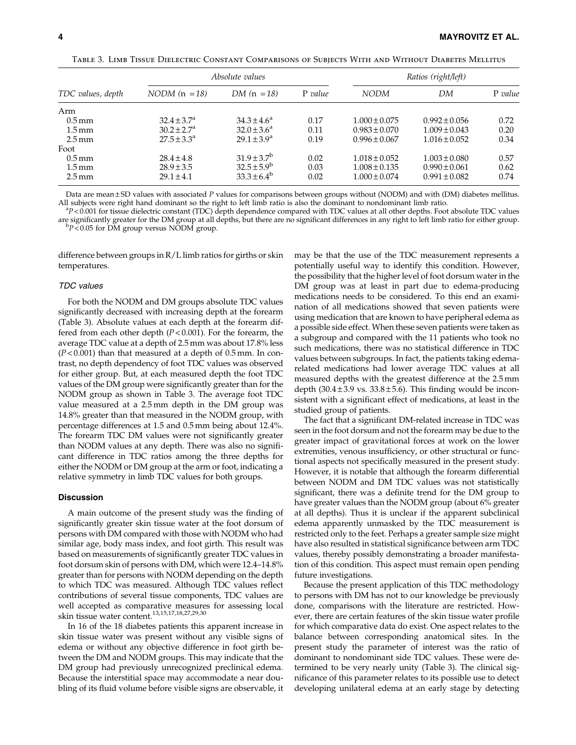| TDC values, depth   | Absolute values        |                      |         | Ratios (right/left) |                   |         |
|---------------------|------------------------|----------------------|---------|---------------------|-------------------|---------|
|                     | $NODM$ (n = 18)        | <i>DM</i> $(n = 18)$ | P value | <b>NODM</b>         | DΜ                | P value |
| Arm                 |                        |                      |         |                     |                   |         |
| $0.5$ mm            | $32.4 \pm 3.7^{\circ}$ | $34.3 \pm 4.6^a$     | 0.17    | $1.000 \pm 0.075$   | $0.992 \pm 0.056$ | 0.72    |
| $1.5 \,\mathrm{mm}$ | $30.2 \pm 2.7^{\circ}$ | $32.0 \pm 3.6^a$     | 0.11    | $0.983 \pm 0.070$   | $1.009 \pm 0.043$ | 0.20    |
| $2.5 \,\mathrm{mm}$ | $27.5 \pm 3.3^a$       | $29.1 \pm 3.9^a$     | 0.19    | $0.996 \pm 0.067$   | $1.016 \pm 0.052$ | 0.34    |
| Foot                |                        |                      |         |                     |                   |         |

Table 3. Limb Tissue Dielectric Constant Comparisons of Subjects With and Without Diabetes Mellitus

Data are mean ± SD values with associated P values for comparisons between groups without (NODM) and with (DM) diabetes mellitus. All subjects were right hand dominant so the right to left limb ratio is also the dominant to nondominant limb ratio.

0.5 mm 28.4 ± 4.8 31.9 ± 3.7<sup>b</sup> 0.02 1.018 ± 0.052 1.003 ± 0.080 0.57  $1.5 \text{ mm}$  28.9 ± 3.5  $32.5 \pm 5.9^{\circ}$  0.03  $1.008 \pm 0.135$  0.990  $\pm 0.061$  0.62  $2.5 \text{ mm}$  29.1 ± 4.1  $33.3 \pm 6.4^{\text{b}}$  0.02  $1.000 \pm 0.074$  0.991  $\pm 0.082$  0.74

 $P$  < 0.001 for tissue dielectric constant (TDC) depth dependence compared with TDC values at all other depths. Foot absolute TDC values are significantly greater for the DM group at all depths, but there are no significant differences in any right to left limb ratio for either group.<br><sup>b</sup>P < 0.05 for DM group versus NODM group.

difference between groups in R/L limb ratios for girths or skin temperatures.

#### TDC values

For both the NODM and DM groups absolute TDC values significantly decreased with increasing depth at the forearm (Table 3). Absolute values at each depth at the forearm differed from each other depth  $(P < 0.001)$ . For the forearm, the average TDC value at a depth of 2.5 mm was about 17.8% less  $(P<0.001)$  than that measured at a depth of 0.5 mm. In contrast, no depth dependency of foot TDC values was observed for either group. But, at each measured depth the foot TDC values of the DM group were significantly greater than for the NODM group as shown in Table 3. The average foot TDC value measured at a 2.5 mm depth in the DM group was 14.8% greater than that measured in the NODM group, with percentage differences at 1.5 and 0.5 mm being about 12.4%. The forearm TDC DM values were not significantly greater than NODM values at any depth. There was also no significant difference in TDC ratios among the three depths for either the NODM or DM group at the arm or foot, indicating a relative symmetry in limb TDC values for both groups.

### **Discussion**

A main outcome of the present study was the finding of significantly greater skin tissue water at the foot dorsum of persons with DM compared with those with NODM who had similar age, body mass index, and foot girth. This result was based on measurements of significantly greater TDC values in foot dorsum skin of persons with DM, which were 12.4–14.8% greater than for persons with NODM depending on the depth to which TDC was measured. Although TDC values reflect contributions of several tissue components, TDC values are well accepted as comparative measures for assessing local skin tissue water content.13,15,17,18,27,29,30

In 16 of the 18 diabetes patients this apparent increase in skin tissue water was present without any visible signs of edema or without any objective difference in foot girth between the DM and NODM groups. This may indicate that the DM group had previously unrecognized preclinical edema. Because the interstitial space may accommodate a near doubling of its fluid volume before visible signs are observable, it may be that the use of the TDC measurement represents a potentially useful way to identify this condition. However, the possibility that the higher level of foot dorsum water in the DM group was at least in part due to edema-producing medications needs to be considered. To this end an examination of all medications showed that seven patients were using medication that are known to have peripheral edema as a possible side effect. When these seven patients were taken as a subgroup and compared with the 11 patients who took no such medications, there was no statistical difference in TDC values between subgroups. In fact, the patients taking edemarelated medications had lower average TDC values at all measured depths with the greatest difference at the 2.5 mm depth  $(30.4 \pm 3.9 \text{ vs. } 33.8 \pm 5.6)$ . This finding would be inconsistent with a significant effect of medications, at least in the studied group of patients.

The fact that a significant DM-related increase in TDC was seen in the foot dorsum and not the forearm may be due to the greater impact of gravitational forces at work on the lower extremities, venous insufficiency, or other structural or functional aspects not specifically measured in the present study. However, it is notable that although the forearm differential between NODM and DM TDC values was not statistically significant, there was a definite trend for the DM group to have greater values than the NODM group (about 6% greater at all depths). Thus it is unclear if the apparent subclinical edema apparently unmasked by the TDC measurement is restricted only to the feet. Perhaps a greater sample size might have also resulted in statistical significance between arm TDC values, thereby possibly demonstrating a broader manifestation of this condition. This aspect must remain open pending future investigations.

Because the present application of this TDC methodology to persons with DM has not to our knowledge be previously done, comparisons with the literature are restricted. However, there are certain features of the skin tissue water profile for which comparative data do exist. One aspect relates to the balance between corresponding anatomical sites. In the present study the parameter of interest was the ratio of dominant to nondominant side TDC values. These were determined to be very nearly unity (Table 3). The clinical significance of this parameter relates to its possible use to detect developing unilateral edema at an early stage by detecting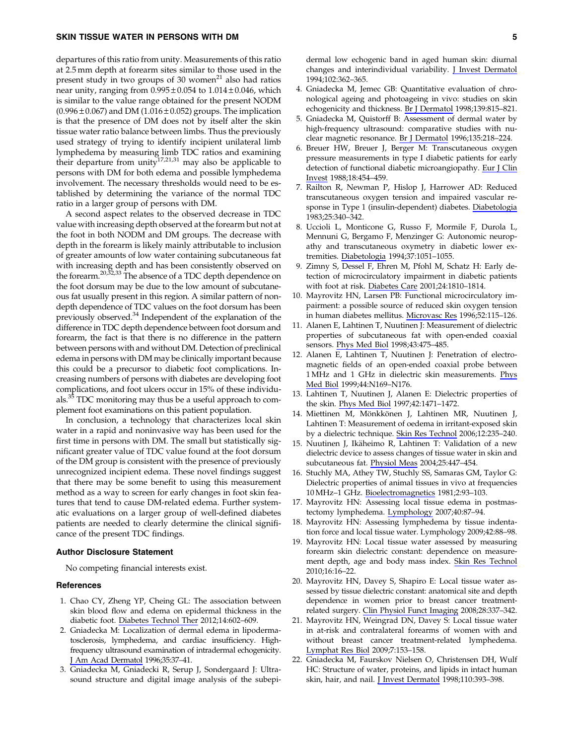## SKIN TISSUE WATER IN PERSONS WITH DM 5

departures of this ratio from unity. Measurements of this ratio at 2.5 mm depth at forearm sites similar to those used in the present study in two groups of 30 women<sup>21</sup> also had ratios near unity, ranging from  $0.995 \pm 0.054$  to  $1.014 \pm 0.046$ , which is similar to the value range obtained for the present NODM  $(0.996 \pm 0.067)$  and DM  $(1.016 \pm 0.052)$  groups. The implication is that the presence of DM does not by itself alter the skin tissue water ratio balance between limbs. Thus the previously used strategy of trying to identify incipient unilateral limb lymphedema by measuring limb TDC ratios and examining their departure from unity<sup>17,21,31</sup> may also be applicable to persons with DM for both edema and possible lymphedema involvement. The necessary thresholds would need to be established by determining the variance of the normal TDC ratio in a larger group of persons with DM.

A second aspect relates to the observed decrease in TDC value with increasing depth observed at the forearm but not at the foot in both NODM and DM groups. The decrease with depth in the forearm is likely mainly attributable to inclusion of greater amounts of low water containing subcutaneous fat with increasing depth and has been consistently observed on the forearm.<sup>20,32,33</sup> The absence of a TDC depth dependence on the foot dorsum may be due to the low amount of subcutaneous fat usually present in this region. A similar pattern of nondepth dependence of TDC values on the foot dorsum has been previously observed.34 Independent of the explanation of the difference in TDC depth dependence between foot dorsum and forearm, the fact is that there is no difference in the pattern between persons with and without DM. Detection of preclinical edema in persons with DM may be clinically important because this could be a precursor to diabetic foot complications. Increasing numbers of persons with diabetes are developing foot complications, and foot ulcers occur in 15% of these individuals.<sup>35</sup> TDC monitoring may thus be a useful approach to complement foot examinations on this patient population.

In conclusion, a technology that characterizes local skin water in a rapid and noninvasive way has been used for the first time in persons with DM. The small but statistically significant greater value of TDC value found at the foot dorsum of the DM group is consistent with the presence of previously unrecognized incipient edema. These novel findings suggest that there may be some benefit to using this measurement method as a way to screen for early changes in foot skin features that tend to cause DM-related edema. Further systematic evaluations on a larger group of well-defined diabetes patients are needed to clearly determine the clinical significance of the present TDC findings.

## Author Disclosure Statement

No competing financial interests exist.

#### **References**

- 1. Chao CY, Zheng YP, Cheing GL: The association between skin blood flow and edema on epidermal thickness in the diabetic foot. Diabetes Technol Ther 2012;14:602–609.
- 2. Gniadecka M: Localization of dermal edema in lipodermatosclerosis, lymphedema, and cardiac insufficiency. Highfrequency ultrasound examination of intradermal echogenicity. J Am Acad Dermatol 1996;35:37–41.
- 3. Gniadecka M, Gniadecki R, Serup J, Sondergaard J: Ultrasound structure and digital image analysis of the subepi-

dermal low echogenic band in aged human skin: diurnal changes and interindividual variability. J Invest Dermatol 1994;102:362–365.

- 4. Gniadecka M, Jemec GB: Quantitative evaluation of chronological ageing and photoageing in vivo: studies on skin echogenicity and thickness. Br J Dermatol 1998;139:815–821.
- 5. Gniadecka M, Quistorff B: Assessment of dermal water by high-frequency ultrasound: comparative studies with nuclear magnetic resonance. Br J Dermatol 1996;135:218–224.
- 6. Breuer HW, Breuer J, Berger M: Transcutaneous oxygen pressure measurements in type I diabetic patients for early detection of functional diabetic microangiopathy. Eur J Clin Invest 1988;18:454–459.
- 7. Railton R, Newman P, Hislop J, Harrower AD: Reduced transcutaneous oxygen tension and impaired vascular response in Type 1 (insulin-dependent) diabetes. Diabetologia 1983;25:340–342.
- 8. Uccioli L, Monticone G, Russo F, Mormile F, Durola L, Mennuni G, Bergamo F, Menzinger G: Autonomic neuropathy and transcutaneous oxymetry in diabetic lower extremities. Diabetologia 1994;37:1051–1055.
- 9. Zimny S, Dessel F, Ehren M, Pfohl M, Schatz H: Early detection of microcirculatory impairment in diabetic patients with foot at risk. Diabetes Care 2001;24:1810–1814.
- 10. Mayrovitz HN, Larsen PB: Functional microcirculatory impairment: a possible source of reduced skin oxygen tension in human diabetes mellitus. Microvasc Res 1996;52:115–126.
- 11. Alanen E, Lahtinen T, Nuutinen J: Measurement of dielectric properties of subcutaneous fat with open-ended coaxial sensors. Phys Med Biol 1998;43:475–485.
- 12. Alanen E, Lahtinen T, Nuutinen J: Penetration of electromagnetic fields of an open-ended coaxial probe between 1 MHz and 1 GHz in dielectric skin measurements. Phys Med Biol 1999;44:N169–N176.
- 13. Lahtinen T, Nuutinen J, Alanen E: Dielectric properties of the skin. Phys Med Biol 1997;42:1471–1472.
- 14. Miettinen M, Mönkkönen J, Lahtinen MR, Nuutinen J, Lahtinen T: Measurement of oedema in irritant-exposed skin by a dielectric technique. Skin Res Technol 2006;12:235–240.
- 15. Nuutinen J, Ikäheimo R, Lahtinen T: Validation of a new dielectric device to assess changes of tissue water in skin and subcutaneous fat. Physiol Meas 2004;25:447–454.
- 16. Stuchly MA, Athey TW, Stuchly SS, Samaras GM, Taylor G: Dielectric properties of animal tissues in vivo at frequencies 10 MHz–1 GHz. Bioelectromagnetics 1981;2:93–103.
- 17. Mayrovitz HN: Assessing local tissue edema in postmastectomy lymphedema. Lymphology 2007;40:87–94.
- 18. Mayrovitz HN: Assessing lymphedema by tissue indentation force and local tissue water. Lymphology 2009;42:88–98.
- 19. Mayrovitz HN: Local tissue water assessed by measuring forearm skin dielectric constant: dependence on measurement depth, age and body mass index. Skin Res Technol 2010;16:16–22.
- 20. Mayrovitz HN, Davey S, Shapiro E: Local tissue water assessed by tissue dielectric constant: anatomical site and depth dependence in women prior to breast cancer treatmentrelated surgery. Clin Physiol Funct Imaging 2008;28:337–342.
- 21. Mayrovitz HN, Weingrad DN, Davey S: Local tissue water in at-risk and contralateral forearms of women with and without breast cancer treatment-related lymphedema. Lymphat Res Biol 2009;7:153–158.
- 22. Gniadecka M, Faurskov Nielsen O, Christensen DH, Wulf HC: Structure of water, proteins, and lipids in intact human skin, hair, and nail. J Invest Dermatol 1998;110:393–398.